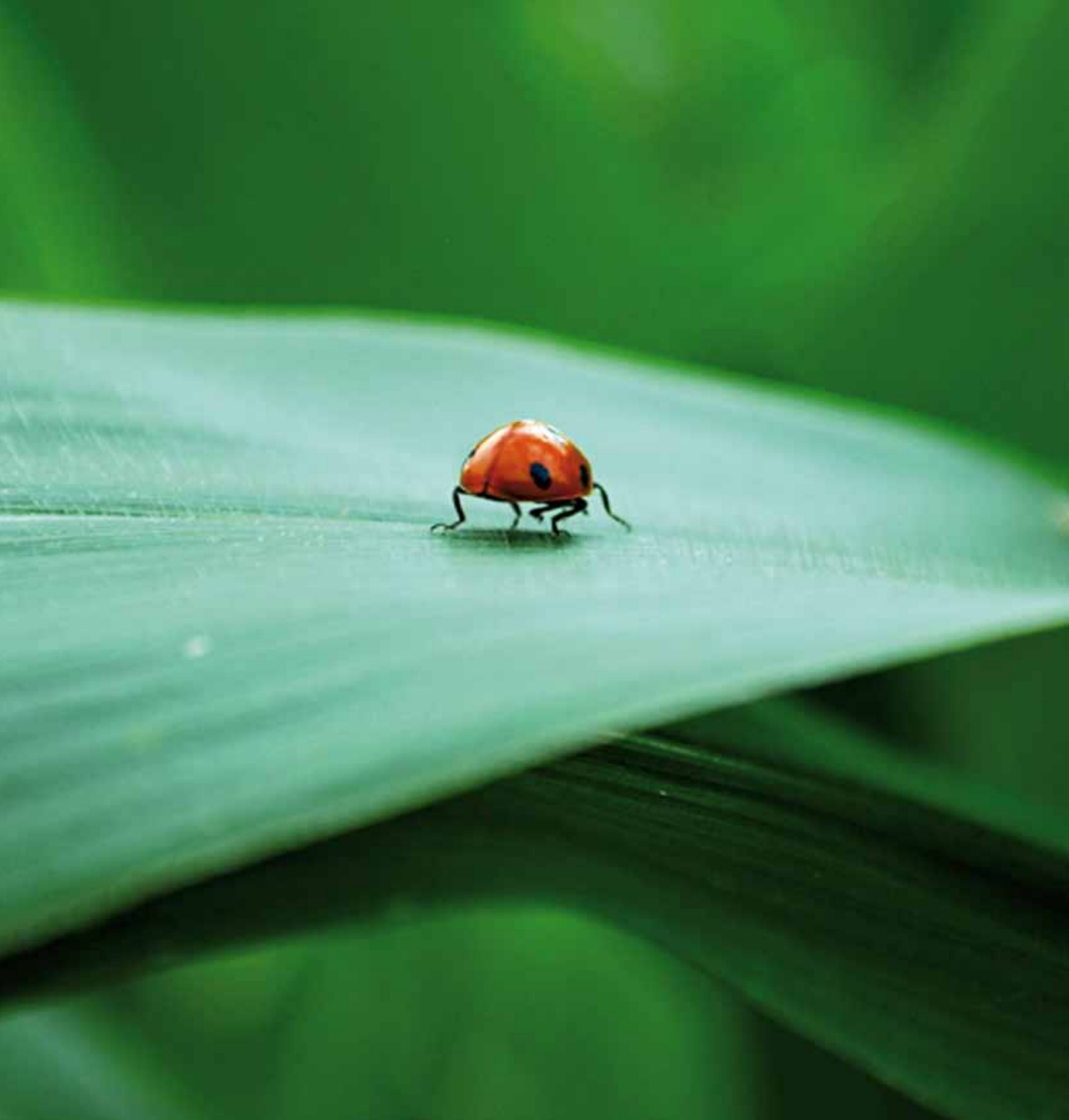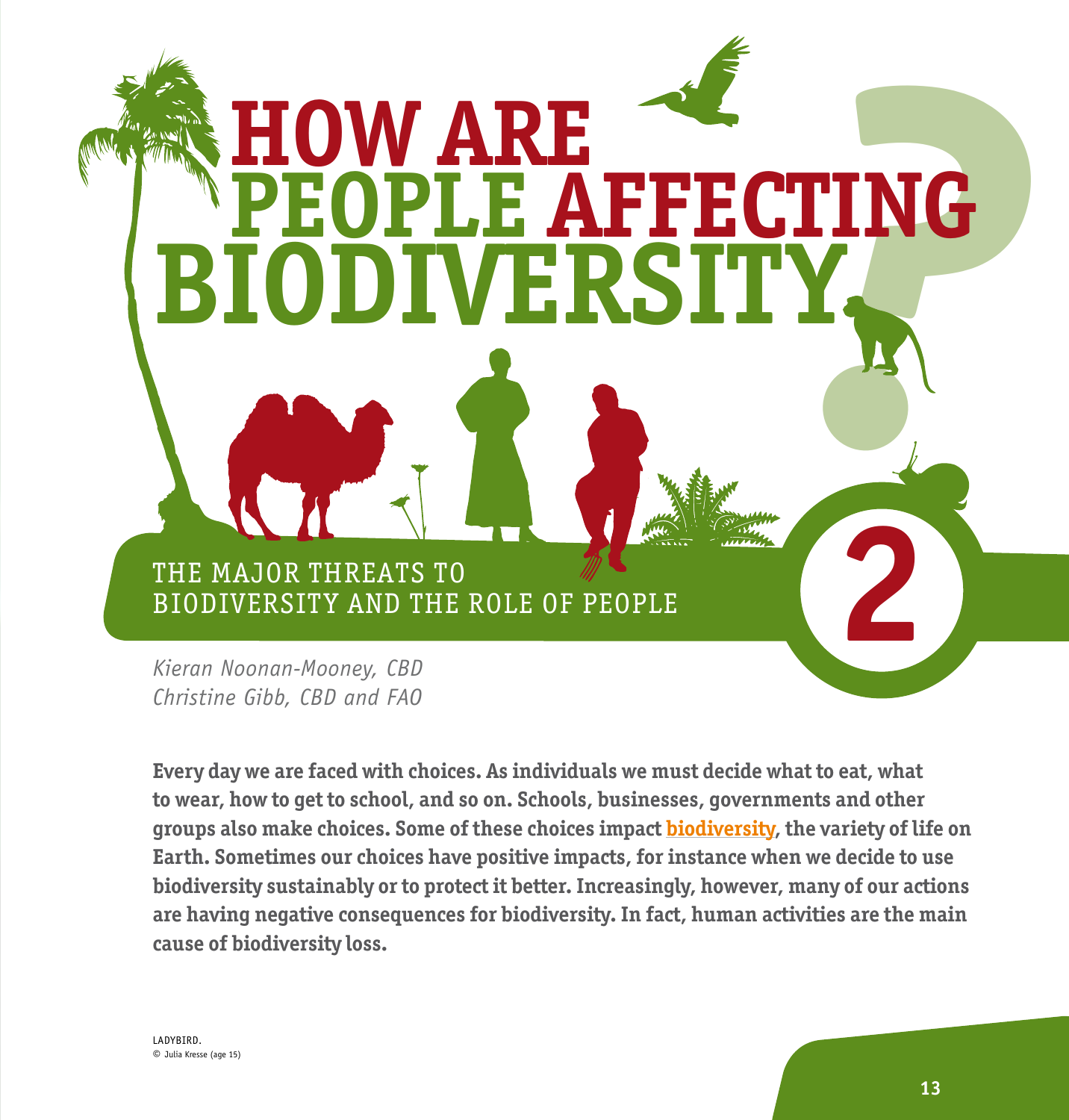# **2** THE MAJOR THREATS TO<br>BIODIVERSITY AND THE ROLE OF PEOPLE<br>Kieran Noonan-Mooney, CBD BIODIVERSITY AND THE ROLE OF PEOPLE

**W ARE** 

 **people affecting** 

**biodiversity**

*Kieran Noonan-Mooney, CBD Christine Gibb, CBD and FAO* 

**Every day we are faced with choices. As individuals we must decide what to eat, what to wear, how to get to school, and so on. Schools, businesses, governments and other groups also make choices. Some of these choices impact biodiversity, the variety of life on Earth. Sometimes our choices have positive impacts, for instance when we decide to use biodiversity sustainably or to protect it better. Increasingly, however, many of our actions are having negative consequences for biodiversity. In fact, human activities are the main cause of biodiversity loss.**

**PING**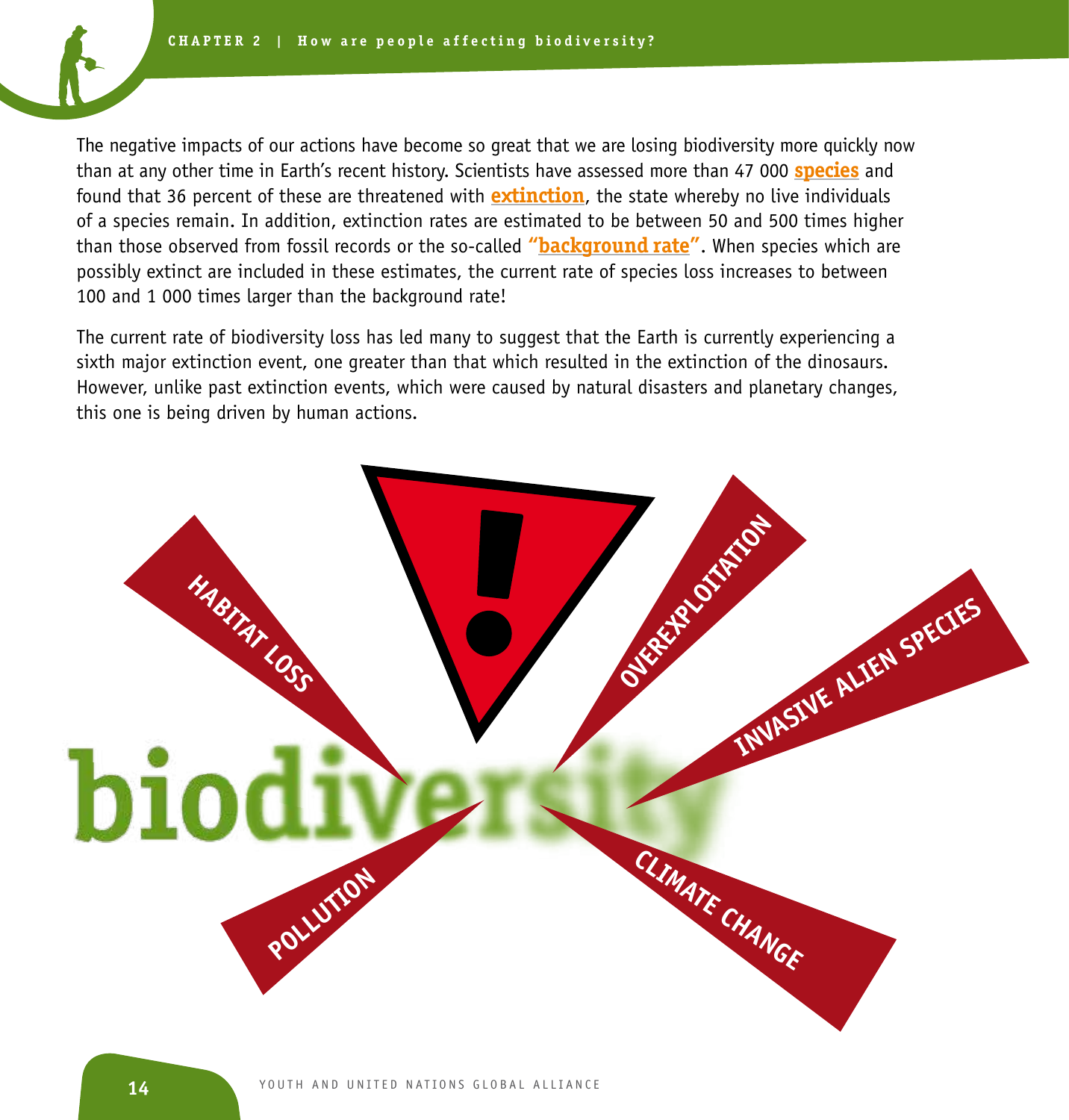The negative impacts of our actions have become so great that we are losing biodiversity more quickly now than at any other time in Earth's recent history. Scientists have assessed more than 47 000 **species** and found that 36 percent of these are threatened with **extinction**, the state whereby no live individuals of a species remain. In addition, extinction rates are estimated to be between 50 and 500 times higher than those observed from fossil records or the so-called **"background rate"**. When species which are possibly extinct are included in these estimates, the current rate of species loss increases to between 100 and 1 000 times larger than the background rate!

The current rate of biodiversity loss has led many to suggest that the Earth is currently experiencing a sixth major extinction event, one greater than that which resulted in the extinction of the dinosaurs. However, unlike past extinction events, which were caused by natural disasters and planetary changes, this one is being driven by human actions.

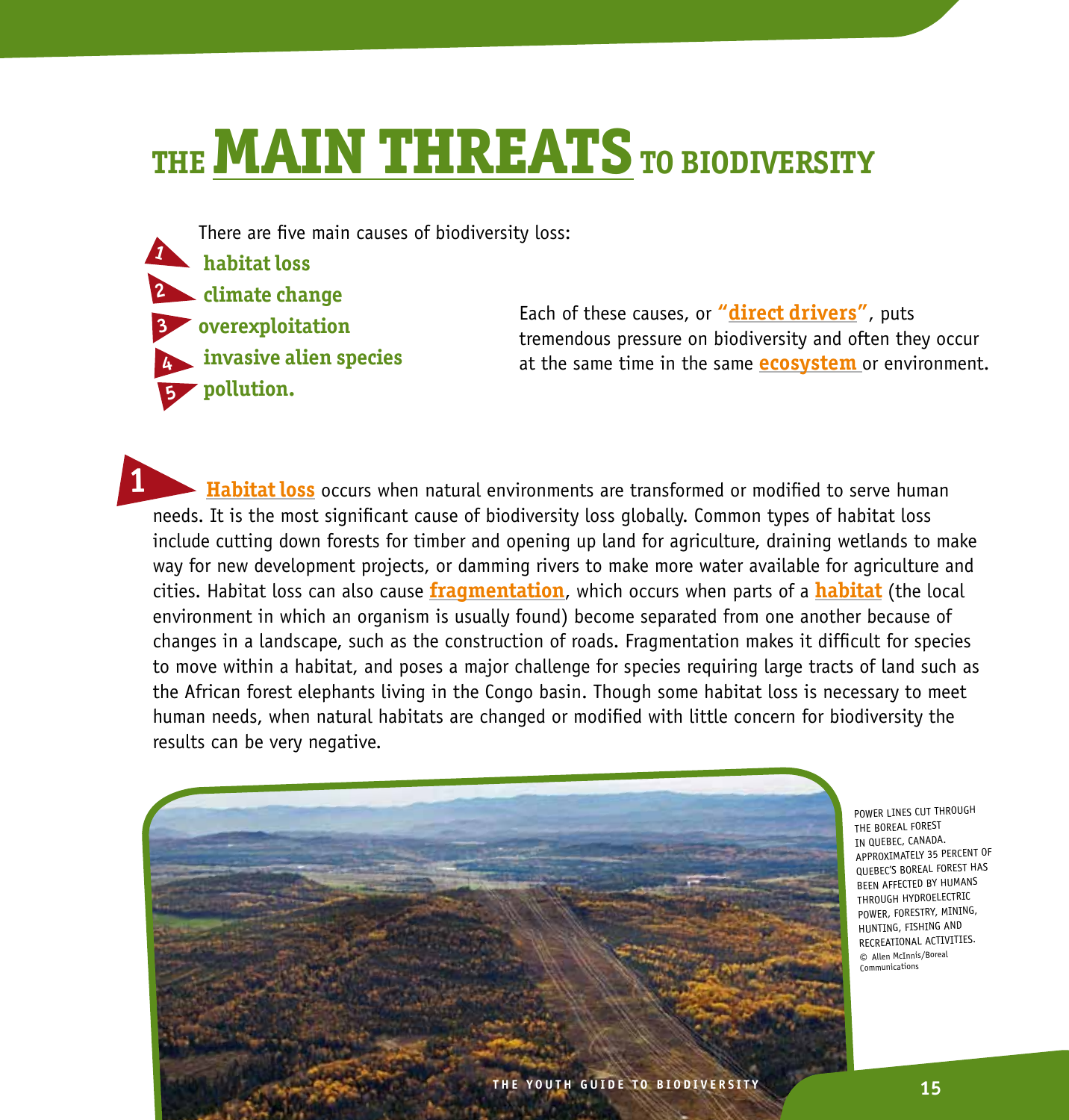# **The main threats to biodiversity**

There are five main causes of biodiversity loss:

**habitat loss climate change overexploitation 3 invasive alien species pollution. 1 24 5**

**1**

Each of these causes, or **"direct drivers"**, puts tremendous pressure on biodiversity and often they occur at the same time in the same **ecosystem** or environment.

**Habitat loss** occurs when natural environments are transformed or modified to serve human needs. It is the most significant cause of biodiversity loss globally. Common types of habitat loss include cutting down forests for timber and opening up land for agriculture, draining wetlands to make way for new development projects, or damming rivers to make more water available for agriculture and cities. Habitat loss can also cause **fragmentation**, which occurs when parts of a **habitat** (the local environment in which an organism is usually found) become separated from one another because of changes in a landscape, such as the construction of roads. Fragmentation makes it difficult for species to move within a habitat, and poses a major challenge for species requiring large tracts of land such as the African forest elephants living in the Congo basin. Though some habitat loss is necessary to meet human needs, when natural habitats are changed or modified with little concern for biodiversity the results can be very negative.



Power lines cut through the boreal forest in Quebec, Canada. Approximately 35 percent of Quebec's boreal forest has been affected by humans through hydroelectric power, forestry, mining, hunting, fishing and recreational activities. © Allen McInnis/Borea<sup>l</sup> Communications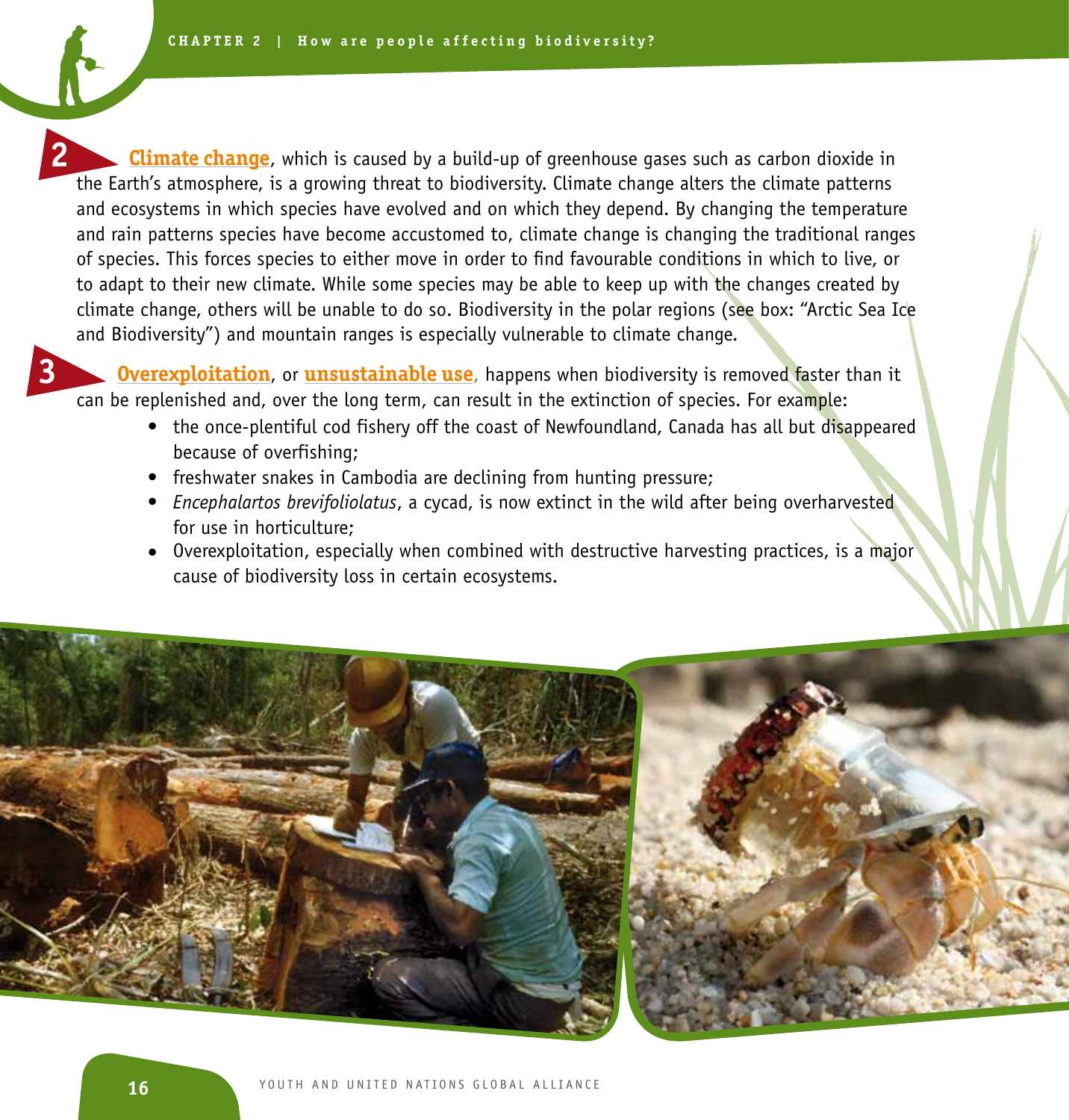**Climate change**, which is caused by a build-up of greenhouse gases such as carbon dioxide in the Earth's atmosphere, is a growing threat to biodiversity. Climate change alters the climate patterns and ecosystems in which species have evolved and on which they depend. By changing the temperature and rain patterns species have become accustomed to, climate change is changing the traditional ranges of species. This forces species to either move in order to find favourable conditions in which to live, or to adapt to their new climate. While some species may be able to keep up with the changes created by climate change, others will be unable to do so. Biodiversity in the polar regions (see box: "Arctic Sea Ice and Biodiversity") and mountain ranges is especially vulnerable to climate change.

 **Overexploitation**, or **unsustainable use**, happens when biodiversity is removed faster than it can be replenished and, over the long term, can result in the extinction of species. For example:

- the once-plentiful cod fishery off the coast of Newfoundland, Canada has all but disappeared because of overfishing;
- freshwater snakes in Cambodia are declining from hunting pressure;
- *Encephalartos brevifoliolatus*, a cycad, is now extinct in the wild after being overharvested for use in horticulture;
- Overexploitation, especially when combined with destructive harvesting practices, is a major cause of biodiversity loss in certain ecosystems.



**2**

**3**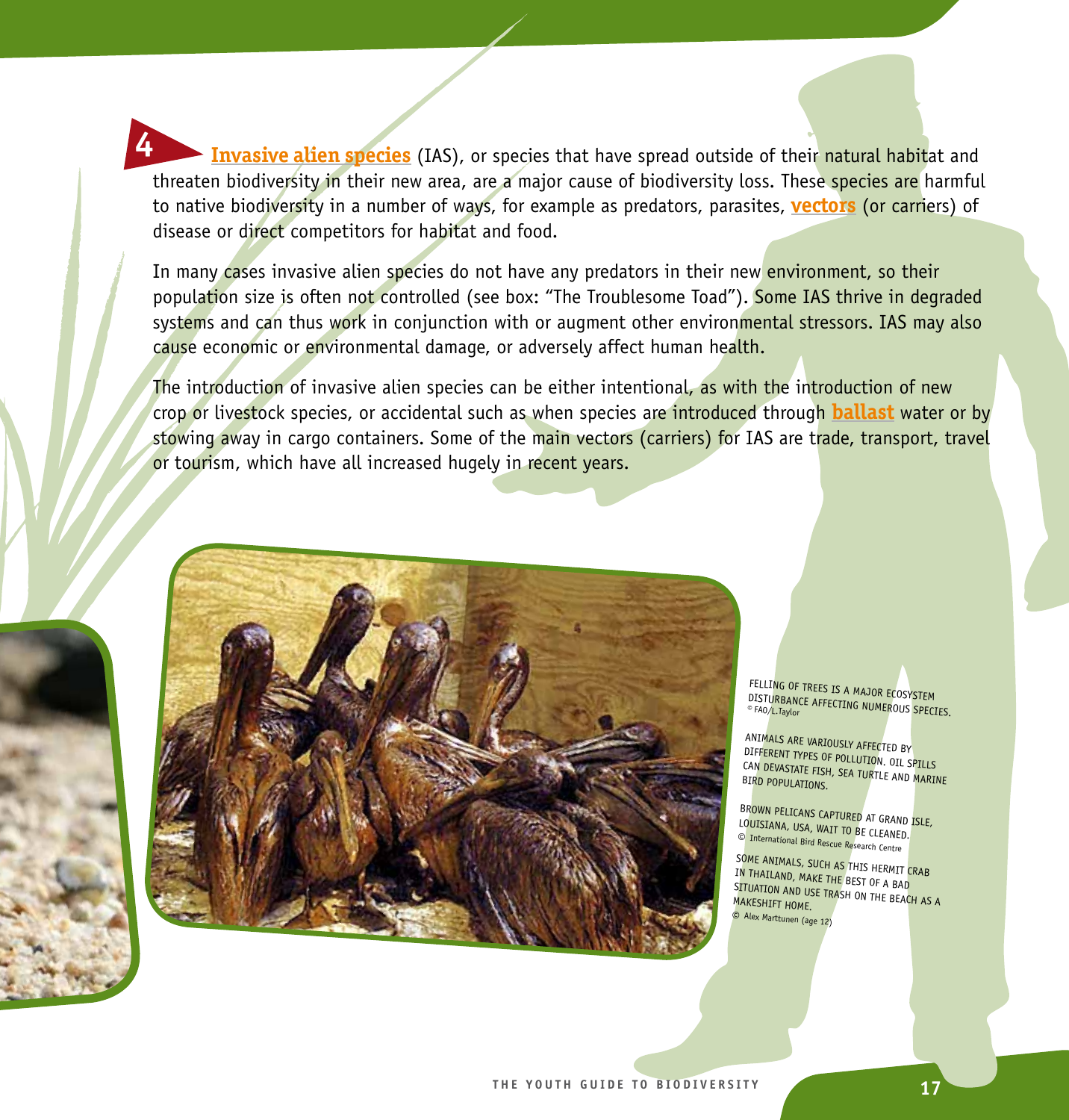**Invasive alien species** (IAS), or species that have spread outside of their natural habitat and threaten biodiversity in their new area, are a major cause of biodiversity loss. These species are harmful to native biodiversity in a number of ways, for example as predators, parasites, **vectors** (or carriers) of disease or direct competitors for habitat and food. **4**

In many cases invasive alien species do not have any predators in their new environment, so their population size is often not controlled (see box: "The Troublesome Toad"). Some IAS thrive in degraded systems and can thus work in conjunction with or augment other environmental stressors. IAS may also cause economic or environmental damage, or adversely affect human health.

The introduction of invasive alien species can be either intentional, as with the introduction of new crop or livestock species, or accidental such as when species are introduced through **ballast** water or by stowing away in cargo containers. Some of the main vectors (carriers) for IAS are trade, transport, travel or tourism, which have all increased hugely in recent years.



Felling of trees is a major ecosystem DISTURBANCE AFFECTING NUMEROUS SPECIES.

Animals are variously affected by different types of pollution. Oil spills CAN DEVASTATE FISH, SEA TURTLE AND MARINE bird populations.

BROWN PELICANS CAPTURED AT GRAND ISLE,<br>LOUISTANA, USA, WATT TO LOUISIANA, USA, WAIT TO BE CLEANED. © International Bird Rescue Research Centre

SOME ANIMALS, SUCH AS THIS HERMIT CRAB IN THAILAND, MAKE THE BEST OF A BAD SITUATION AND USE TRASH ON THE BEACH AS A makeshift home. © Alex Marttunen (age 12)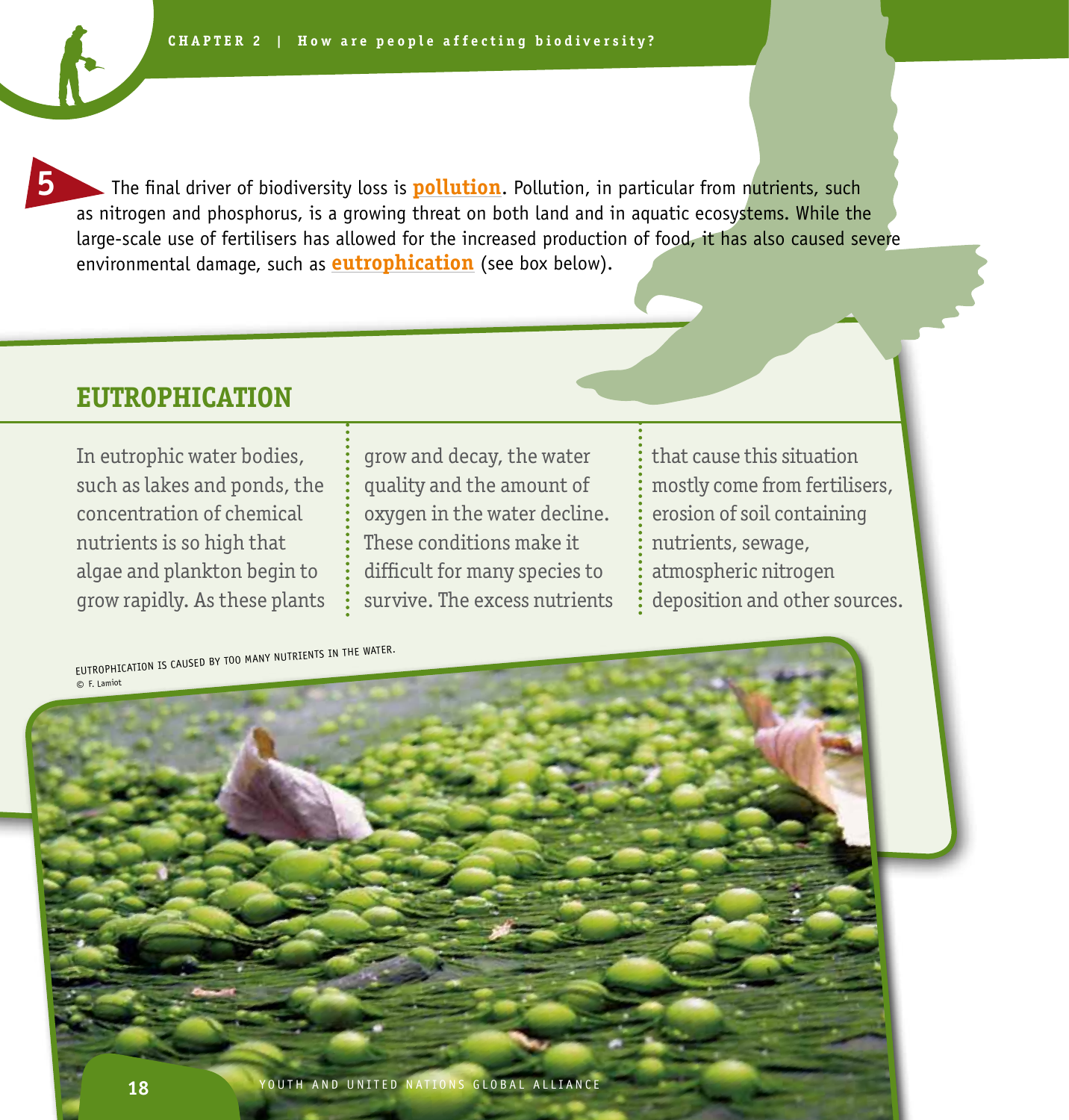The final driver of biodiversity loss is **pollution**. Pollution, in particular from nutrients, such as nitrogen and phosphorus, is a growing threat on both land and in aquatic ecosystems. While the large-scale use of fertilisers has allowed for the increased production of food, it has also caused severe environmental damage, such as **eutrophication** (see box below).

#### **Eutrophication**

**5**

In eutrophic water bodies, such as lakes and ponds, the concentration of chemical nutrients is so high that algae and plankton begin to grow rapidly. As these plants grow and decay, the water quality and the amount of oxygen in the water decline. These conditions make it difficult for many species to survive. The excess nutrients

that cause this situation mostly come from fertilisers, erosion of soil containing nutrients, sewage, atmospheric nitrogen deposition and other sources.

Eutrophication is caused by too many nutrients in the water. © F. Lamiot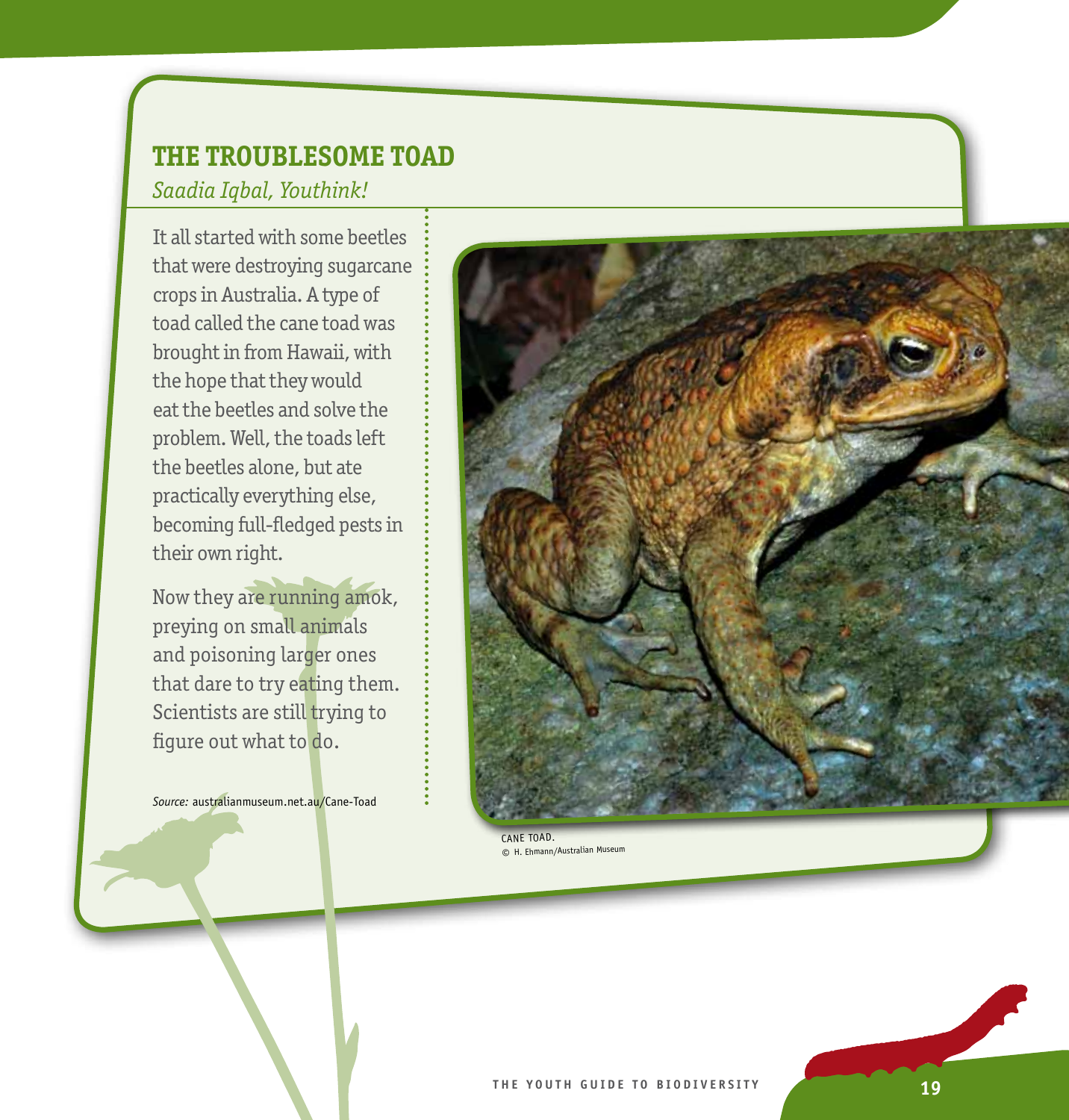#### **The troublesome toad** *Saadia Iqbal, Youthink!*

It all started with some beetles that were destroying sugarcane crops in Australia. A type of toad called the cane toad was brought in from Hawaii, with the hope that they would eat the beetles and solve the problem. Well, the toads left the beetles alone, but ate practically everything else, becoming full-fledged pests in their own right.

Now they are running amok, preying on small animals and poisoning larger ones that dare to try eating them. Scientists are still trying to figure out what to do.

*Source:* australianmuseum.net.au/Cane-Toad



CANE TOAD. © H. Ehmann/Australian Museum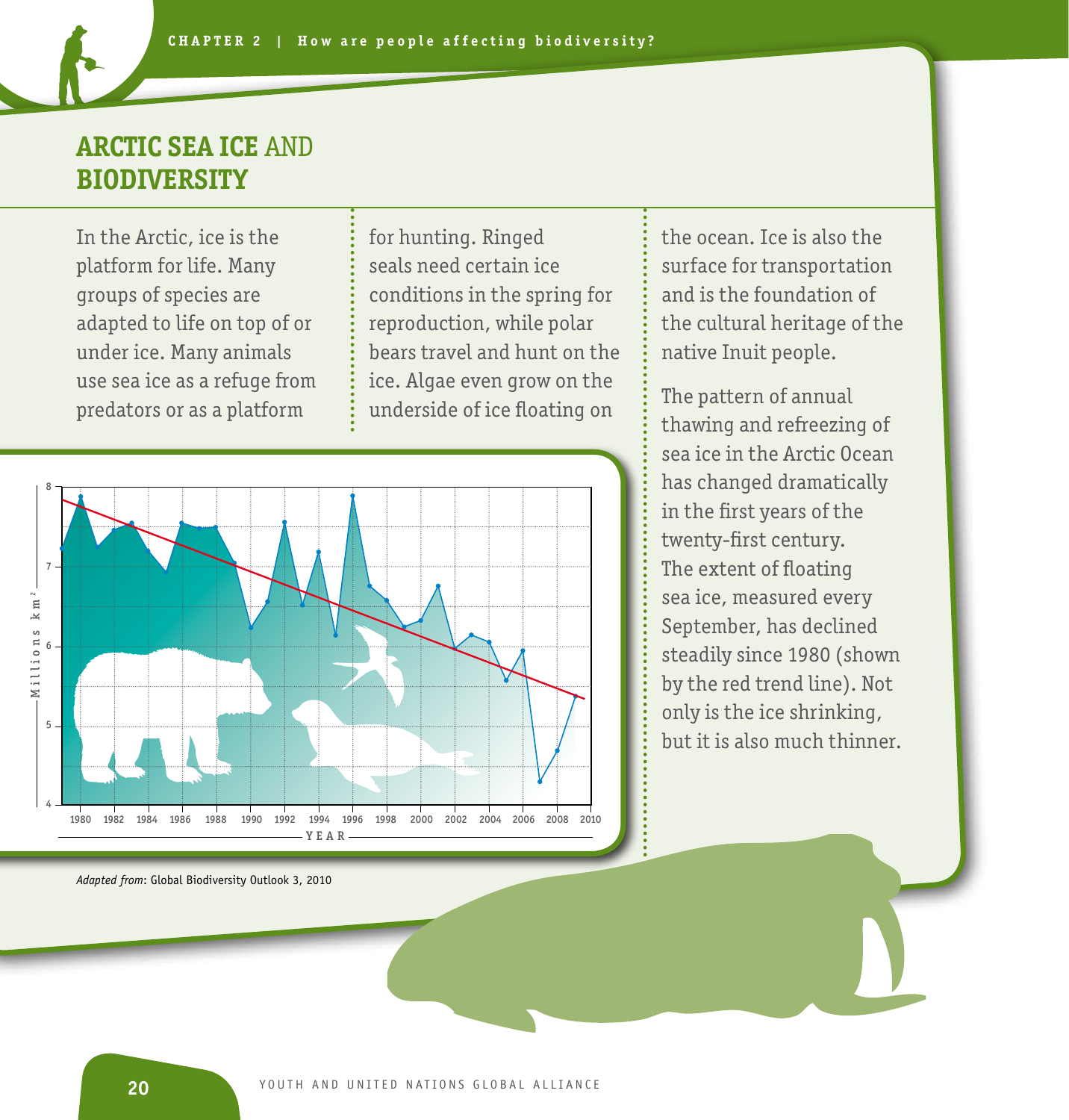#### **Arctic sea ice** and **biodiversity**

In the Arctic, ice is the platform for life. Many groups of species are adapted to life on top of or under ice. Many animals use sea ice as a refuge from predators or as a platform

for hunting. Ringed seals need certain ice conditions in the spring for reproduction, while polar bears travel and hunt on the ice. Algae even grow on the underside of ice floating on

the ocean. Ice is also the surface for transportation and is the foundation of the cultural heritage of the native Inuit people.

The pattern of annual thawing and refreezing of sea ice in the Arctic Ocean has changed dramatically in the first years of the twenty-first century. The extent of floating sea ice, measured every September, has declined steadily since 1980 (shown by the red trend line). Not only is the ice shrinking, but it is also much thinner.



*Adapted from*: Global Biodiversity Outlook 3, 2010